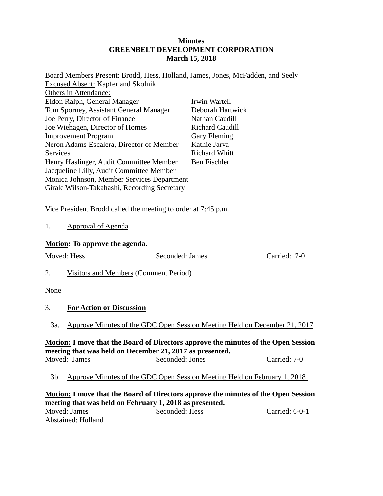# **Minutes GREENBELT DEVELOPMENT CORPORATION March 15, 2018**

| Board Members Present: Brodd, Hess, Holland, James, Jones, McFadden, and Seely |                                 |
|--------------------------------------------------------------------------------|---------------------------------|
| <b>Excused Absent: Kapfer and Skolnik</b>                                      |                                 |
| Others in Attendance:                                                          |                                 |
| Eldon Ralph, General Manager                                                   | Irwin Wartell                   |
| Tom Sporney, Assistant General Manager                                         | Deborah Hartwick                |
| Joe Perry, Director of Finance                                                 | Nathan Caudill                  |
| Joe Wiehagen, Director of Homes                                                | <b>Richard Caudill</b>          |
| <b>Improvement Program</b>                                                     | Gary Fleming                    |
| Neron Adams-Escalera, Director of Member                                       | Kathie Jarva                    |
| Services                                                                       | <b>Richard Whitt</b>            |
| Henry Haslinger, Audit Committee Member                                        | Ben Fischler                    |
| Jacqueline Lilly, Audit Committee Member                                       |                                 |
| Monica Johnson, Member Services Department                                     |                                 |
| Girale Wilson-Takahashi, Recording Secretary                                   |                                 |
|                                                                                |                                 |
| Vice President Brodd called the meeting to order at 7:45 p.m.                  |                                 |
| <b>Approval of Agenda</b><br>1.                                                |                                 |
| <b>Motion:</b> To approve the agenda.                                          |                                 |
| Moved: Hess                                                                    | Seconded: James<br>Carried: 7-0 |

- 2. Visitors and Members (Comment Period)
- None

# 3. **For Action or Discussion**

3a. Approve Minutes of the GDC Open Session Meeting Held on December 21, 2017

## **Motion: I move that the Board of Directors approve the minutes of the Open Session meeting that was held on December 21, 2017 as presented.** Moved: James Seconded: Jones Carried: 7-0

3b. Approve Minutes of the GDC Open Session Meeting Held on February 1, 2018

**Motion: I move that the Board of Directors approve the minutes of the Open Session meeting that was held on February 1, 2018 as presented.** Moved: James Seconded: Hess Carried: 6-0-1 Abstained: Holland